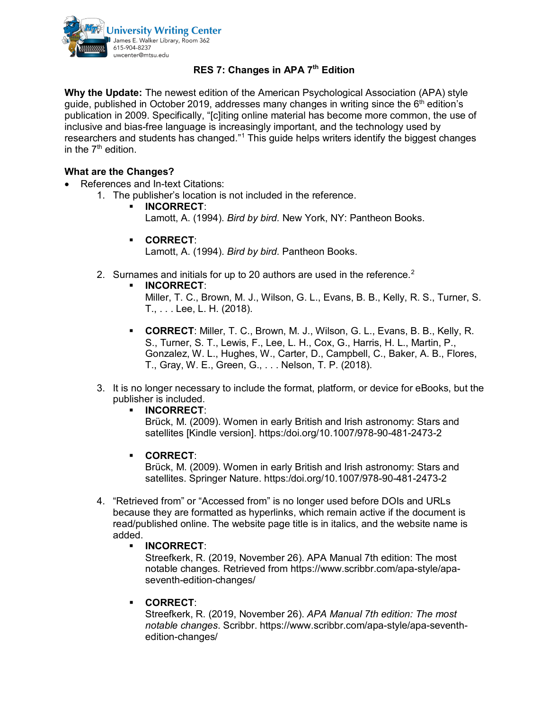

## **RES 7: Changes in APA 7th Edition**

**Why the Update:** The newest edition of the American Psychological Association (APA) style guide, published in October 2019, addresses many changes in writing since the  $6<sup>th</sup>$  edition's publication in 2009. Specifically, "[c]iting online material has become more common, the use of inclusive and bias-free language is increasingly important, and the technology used by researchers and students has changed."<sup>1</sup> This guide helps writers identify the biggest changes in the  $7<sup>th</sup>$  edition.

## **What are the Changes?**

- References and In-text Citations:
	- 1. The publisher's location is not included in the reference.
		- **INCORRECT**: Lamott, A. (1994). *Bird by bird.* New York, NY: Pantheon Books.
		- **CORRECT**:

Lamott, A. (1994). *Bird by bird.* Pantheon Books.

- [2](#page-1-1). Surnames and initials for up to 20 authors are used in the reference.<sup>2</sup>
	- **INCORRECT**:
		- Miller, T. C., Brown, M. J., Wilson, G. L., Evans, B. B., Kelly, R. S., Turner, S. T., . . . Lee, L. H. (2018).
	- **CORRECT**: Miller, T. C., Brown, M. J., Wilson, G. L., Evans, B. B., Kelly, R. S., Turner, S. T., Lewis, F., Lee, L. H., Cox, G., Harris, H. L., Martin, P., Gonzalez, W. L., Hughes, W., Carter, D., Campbell, C., Baker, A. B., Flores, T., Gray, W. E., Green, G., . . . Nelson, T. P. (2018).
- 3. It is no longer necessary to include the format, platform, or device for eBooks, but the publisher is included.
	- **INCORRECT**:

Brück, M. (2009). Women in early British and Irish astronomy: Stars and satellites [Kindle version]. https:/doi.org/10.1007/978-90-481-2473-2

**CORRECT**:

Brück, M. (2009). Women in early British and Irish astronomy: Stars and satellites. Springer Nature. https:/doi.org/10.1007/978-90-481-2473-2

- 4. "Retrieved from" or "Accessed from" is no longer used before DOIs and URLs because they are formatted as hyperlinks, which remain active if the document is read/published online. The website page title is in italics, and the website name is added.
	- **INCORRECT**:

Streefkerk, R. (2019, November 26). APA Manual 7th edition: The most notable changes*.* Retrieved from https://www.scribbr.com/apa-style/apaseventh-edition-changes/

**CORRECT**:

Streefkerk, R. (2019, November 26). *APA Manual 7th edition: The most notable changes*. Scribbr. https://www.scribbr.com/apa-style/apa-seventhedition-changes/